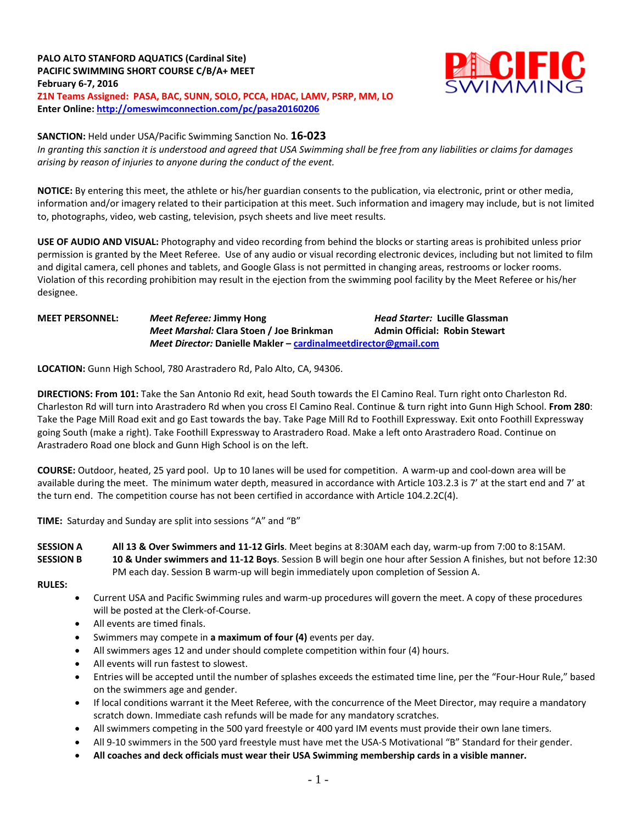# **PALO ALTO STANFORD AQUATICS (Cardinal Site) PACIFIC SWIMMING SHORT COURSE C/B/A+ MEET February 6-7, 2016 Z1N Teams Assigned: PASA, BAC, SUNN, SOLO, PCCA, HDAC, LAMV, PSRP, MM, LO**

**Enter Online:<http://omeswimconnection.com/pc/pasa20160206>**



## **SANCTION:** Held under USA/Pacific Swimming Sanction No. **16-023**

*In granting this sanction it is understood and agreed that USA Swimming shall be free from any liabilities or claims for damages arising by reason of injuries to anyone during the conduct of the event.*

**NOTICE:** By entering this meet, the athlete or his/her guardian consents to the publication, via electronic, print or other media, information and/or imagery related to their participation at this meet. Such information and imagery may include, but is not limited to, photographs, video, web casting, television, psych sheets and live meet results.

**USE OF AUDIO AND VISUAL:** Photography and video recording from behind the blocks or starting areas is prohibited unless prior permission is granted by the Meet Referee. Use of any audio or visual recording electronic devices, including but not limited to film and digital camera, cell phones and tablets, and Google Glass is not permitted in changing areas, restrooms or locker rooms. Violation of this recording prohibition may result in the ejection from the swimming pool facility by the Meet Referee or his/her designee.

### **MEET PERSONNEL:** *Meet Referee:* **Jimmy Hong** *Head Starter:* **Lucille Glassman** *Meet Marshal:* **Clara Stoen / Joe Brinkman Admin Official: Robin Stewart** *Meet Director:* **Danielle Makler – [cardinalmeetdirector@gmail.com](mailto:cardinalmeetdirector@gmail.com)**

**LOCATION:** Gunn High School, 780 Arastradero Rd, Palo Alto, CA, 94306.

**DIRECTIONS: From 101:** Take the San Antonio Rd exit, head South towards the El Camino Real. Turn right onto Charleston Rd. Charleston Rd will turn into Arastradero Rd when you cross El Camino Real. Continue & turn right into Gunn High School. **From 280**: Take the Page Mill Road exit and go East towards the bay. Take Page Mill Rd to Foothill Expressway. Exit onto Foothill Expressway going South (make a right). Take Foothill Expressway to Arastradero Road. Make a left onto Arastradero Road. Continue on Arastradero Road one block and Gunn High School is on the left.

**COURSE:** Outdoor, heated, 25 yard pool.Up to 10 lanes will be used for competition. A warm-up and cool-down area will be available during the meet. The minimum water depth, measured in accordance with Article 103.2.3 is 7' at the start end and 7' at the turn end. The competition course has not been certified in accordance with Article 104.2.2C(4).

**TIME:** Saturday and Sunday are split into sessions "A" and "B"

**SESSION A All 13 & Over Swimmers and 11-12 Girls**. Meet begins at 8:30AM each day, warm-up from 7:00 to 8:15AM. **SESSION B 10 & Under swimmers and 11-12 Boys**. Session B will begin one hour after Session A finishes, but not before 12:30 PM each day. Session B warm-up will begin immediately upon completion of Session A.

**RULES:** 

- Current USA and Pacific Swimming rules and warm-up procedures will govern the meet. A copy of these procedures will be posted at the Clerk-of-Course.
- All events are timed finals.
- Swimmers may compete in **a maximum of four (4)** events per day.
- All swimmers ages 12 and under should complete competition within four (4) hours.
- All events will run fastest to slowest.
- Entries will be accepted until the number of splashes exceeds the estimated time line, per the "Four-Hour Rule," based on the swimmers age and gender.
- If local conditions warrant it the Meet Referee, with the concurrence of the Meet Director, may require a mandatory scratch down. Immediate cash refunds will be made for any mandatory scratches.
- All swimmers competing in the 500 yard freestyle or 400 yard IM events must provide their own lane timers.
- All 9-10 swimmers in the 500 yard freestyle must have met the USA-S Motivational "B" Standard for their gender.
- **All coaches and deck officials must wear their USA Swimming membership cards in a visible manner.**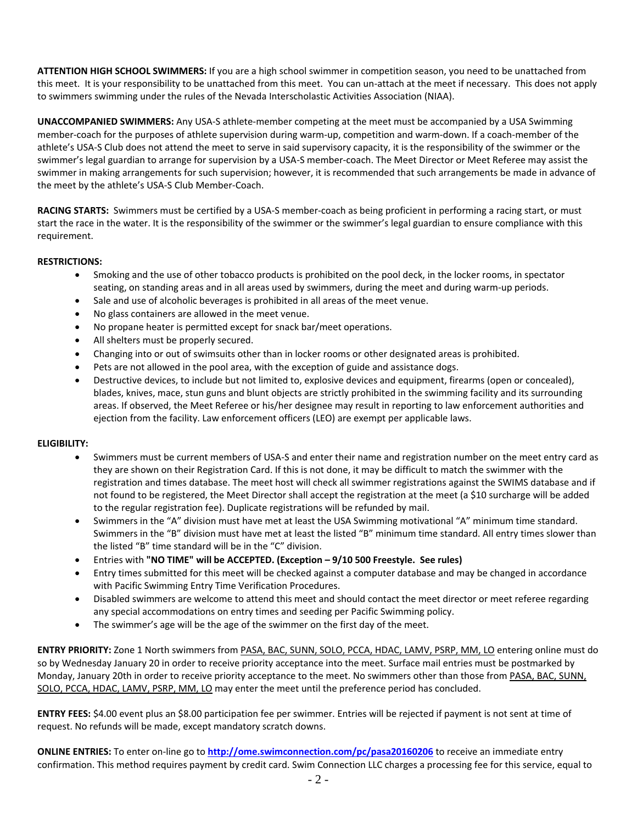**ATTENTION HIGH SCHOOL SWIMMERS:** If you are a high school swimmer in competition season, you need to be unattached from this meet. It is your responsibility to be unattached from this meet. You can un-attach at the meet if necessary. This does not apply to swimmers swimming under the rules of the Nevada Interscholastic Activities Association (NIAA).

**UNACCOMPANIED SWIMMERS:** Any USA-S athlete-member competing at the meet must be accompanied by a USA Swimming member-coach for the purposes of athlete supervision during warm-up, competition and warm-down. If a coach-member of the athlete's USA-S Club does not attend the meet to serve in said supervisory capacity, it is the responsibility of the swimmer or the swimmer's legal guardian to arrange for supervision by a USA-S member-coach. The Meet Director or Meet Referee may assist the swimmer in making arrangements for such supervision; however, it is recommended that such arrangements be made in advance of the meet by the athlete's USA-S Club Member-Coach.

**RACING STARTS:** Swimmers must be certified by a USA-S member-coach as being proficient in performing a racing start, or must start the race in the water. It is the responsibility of the swimmer or the swimmer's legal guardian to ensure compliance with this requirement.

## **RESTRICTIONS:**

- Smoking and the use of other tobacco products is prohibited on the pool deck, in the locker rooms, in spectator seating, on standing areas and in all areas used by swimmers, during the meet and during warm-up periods.
- Sale and use of alcoholic beverages is prohibited in all areas of the meet venue.
- No glass containers are allowed in the meet venue.
- No propane heater is permitted except for snack bar/meet operations.
- All shelters must be properly secured.
- Changing into or out of swimsuits other than in locker rooms or other designated areas is prohibited.
- Pets are not allowed in the pool area, with the exception of guide and assistance dogs.
- Destructive devices, to include but not limited to, explosive devices and equipment, firearms (open or concealed), blades, knives, mace, stun guns and blunt objects are strictly prohibited in the swimming facility and its surrounding areas. If observed, the Meet Referee or his/her designee may result in reporting to law enforcement authorities and ejection from the facility. Law enforcement officers (LEO) are exempt per applicable laws.

#### **ELIGIBILITY:**

- Swimmers must be current members of USA-S and enter their name and registration number on the meet entry card as they are shown on their Registration Card. If this is not done, it may be difficult to match the swimmer with the registration and times database. The meet host will check all swimmer registrations against the SWIMS database and if not found to be registered, the Meet Director shall accept the registration at the meet (a \$10 surcharge will be added to the regular registration fee). Duplicate registrations will be refunded by mail.
- Swimmers in the "A" division must have met at least the USA Swimming motivational "A" minimum time standard. Swimmers in the "B" division must have met at least the listed "B" minimum time standard. All entry times slower than the listed "B" time standard will be in the "C" division.
- Entries with **"NO TIME" will be ACCEPTED. (Exception – 9/10 500 Freestyle. See rules)**
- Entry times submitted for this meet will be checked against a computer database and may be changed in accordance with Pacific Swimming Entry Time Verification Procedures.
- Disabled swimmers are welcome to attend this meet and should contact the meet director or meet referee regarding any special accommodations on entry times and seeding per Pacific Swimming policy.
- The swimmer's age will be the age of the swimmer on the first day of the meet.

**ENTRY PRIORITY:** Zone 1 North swimmers from PASA, BAC, SUNN, SOLO, PCCA, HDAC, LAMV, PSRP, MM, LO entering online must do so by Wednesday January 20 in order to receive priority acceptance into the meet. Surface mail entries must be postmarked by Monday, January 20th in order to receive priority acceptance to the meet. No swimmers other than those from PASA, BAC, SUNN, SOLO, PCCA, HDAC, LAMV, PSRP, MM, LO may enter the meet until the preference period has concluded.

**ENTRY FEES:** \$4.00 event plus an \$8.00 participation fee per swimmer. Entries will be rejected if payment is not sent at time of request. No refunds will be made, except mandatory scratch downs.

**ONLINE ENTRIES:** To enter on-line go to **<http://ome.swimconnection.com/pc/pasa20160206>** to receive an immediate entry confirmation. This method requires payment by credit card. Swim Connection LLC charges a processing fee for this service, equal to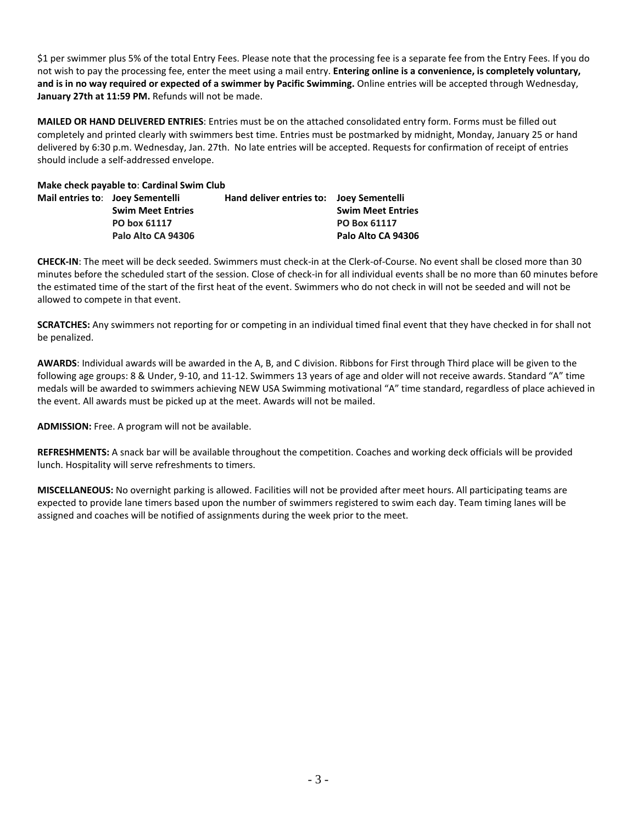\$1 per swimmer plus 5% of the total Entry Fees. Please note that the processing fee is a separate fee from the Entry Fees. If you do not wish to pay the processing fee, enter the meet using a mail entry. **Entering online is a convenience, is completely voluntary, and is in no way required or expected of a swimmer by Pacific Swimming.** Online entries will be accepted through Wednesday, **January 27th at 11:59 PM.** Refunds will not be made.

**MAILED OR HAND DELIVERED ENTRIES**: Entries must be on the attached consolidated entry form. Forms must be filled out completely and printed clearly with swimmers best time. Entries must be postmarked by midnight, Monday, January 25 or hand delivered by 6:30 p.m. Wednesday, Jan. 27th. No late entries will be accepted. Requests for confirmation of receipt of entries should include a self-addressed envelope.

| Make check payable to: Cardinal Swim Club |                                  |                                          |                          |  |  |  |  |  |  |  |
|-------------------------------------------|----------------------------------|------------------------------------------|--------------------------|--|--|--|--|--|--|--|
|                                           | Mail entries to: Joey Sementelli | Hand deliver entries to: Joey Sementelli |                          |  |  |  |  |  |  |  |
|                                           | <b>Swim Meet Entries</b>         |                                          | <b>Swim Meet Entries</b> |  |  |  |  |  |  |  |
|                                           | PO box 61117                     |                                          | PO Box 61117             |  |  |  |  |  |  |  |
|                                           | Palo Alto CA 94306               |                                          | Palo Alto CA 94306       |  |  |  |  |  |  |  |

**CHECK-IN**: The meet will be deck seeded. Swimmers must check-in at the Clerk-of-Course. No event shall be closed more than 30 minutes before the scheduled start of the session. Close of check-in for all individual events shall be no more than 60 minutes before the estimated time of the start of the first heat of the event. Swimmers who do not check in will not be seeded and will not be allowed to compete in that event.

**SCRATCHES:** Any swimmers not reporting for or competing in an individual timed final event that they have checked in for shall not be penalized.

**AWARDS**: Individual awards will be awarded in the A, B, and C division. Ribbons for First through Third place will be given to the following age groups: 8 & Under, 9-10, and 11-12. Swimmers 13 years of age and older will not receive awards. Standard "A" time medals will be awarded to swimmers achieving NEW USA Swimming motivational "A" time standard, regardless of place achieved in the event. All awards must be picked up at the meet. Awards will not be mailed.

**ADMISSION:** Free. A program will not be available.

**REFRESHMENTS:** A snack bar will be available throughout the competition. Coaches and working deck officials will be provided lunch. Hospitality will serve refreshments to timers.

**MISCELLANEOUS:** No overnight parking is allowed. Facilities will not be provided after meet hours. All participating teams are expected to provide lane timers based upon the number of swimmers registered to swim each day. Team timing lanes will be assigned and coaches will be notified of assignments during the week prior to the meet.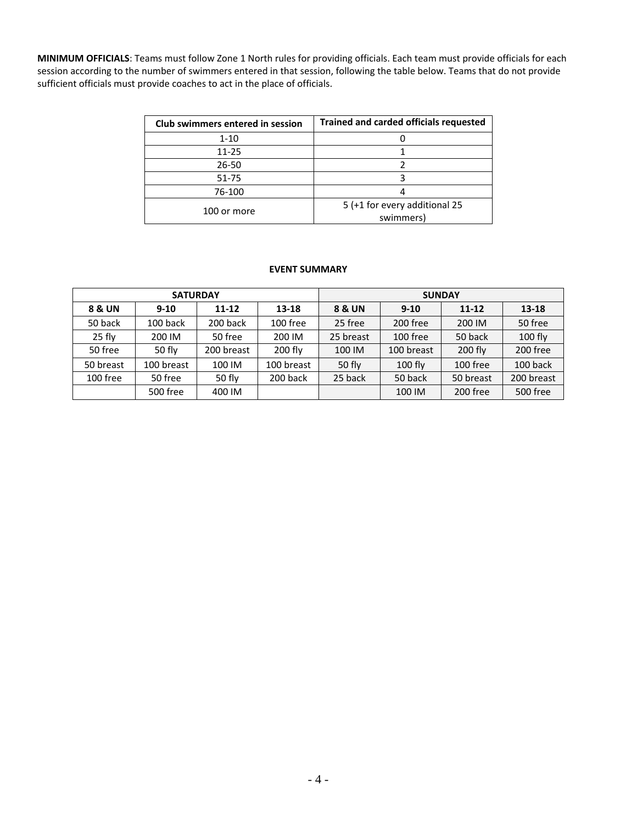**MINIMUM OFFICIALS**: Teams must follow Zone 1 North rules for providing officials. Each team must provide officials for each session according to the number of swimmers entered in that session, following the table below. Teams that do not provide sufficient officials must provide coaches to act in the place of officials.

| Club swimmers entered in session | <b>Trained and carded officials requested</b> |
|----------------------------------|-----------------------------------------------|
| $1 - 10$                         |                                               |
| 11-25                            |                                               |
| 26-50                            |                                               |
| 51-75                            |                                               |
| 76-100                           |                                               |
| 100 or more                      | 5 (+1 for every additional 25<br>swimmers)    |

#### **EVENT SUMMARY**

|           | <b>SATURDAY</b> |            |            | <b>SUNDAY</b>     |            |           |            |  |  |
|-----------|-----------------|------------|------------|-------------------|------------|-----------|------------|--|--|
| 8 & UN    | $9 - 10$        | $11 - 12$  | 13-18      | <b>8 &amp; UN</b> | $9 - 10$   | $11 - 12$ | $13 - 18$  |  |  |
| 50 back   | 100 back        | 200 back   | 100 free   | 25 free           | 200 free   | 200 IM    | 50 free    |  |  |
| $25$ fly  | 200 IM          | 50 free    | 200 IM     | 25 breast         | 100 free   | 50 back   | $100$ fly  |  |  |
| 50 free   | $50$ flv        | 200 breast | $200$ fly  | 100 IM            | 100 breast | $200$ fly | 200 free   |  |  |
| 50 breast | 100 breast      | 100 IM     | 100 breast | 50 fly            | $100$ fly  | 100 free  | 100 back   |  |  |
| 100 free  | 50 free         | 50 $f$ ly  | 200 back   | 25 back           | 50 back    | 50 breast | 200 breast |  |  |
|           | 500 free        | 400 IM     |            |                   | 100 IM     | 200 free  | 500 free   |  |  |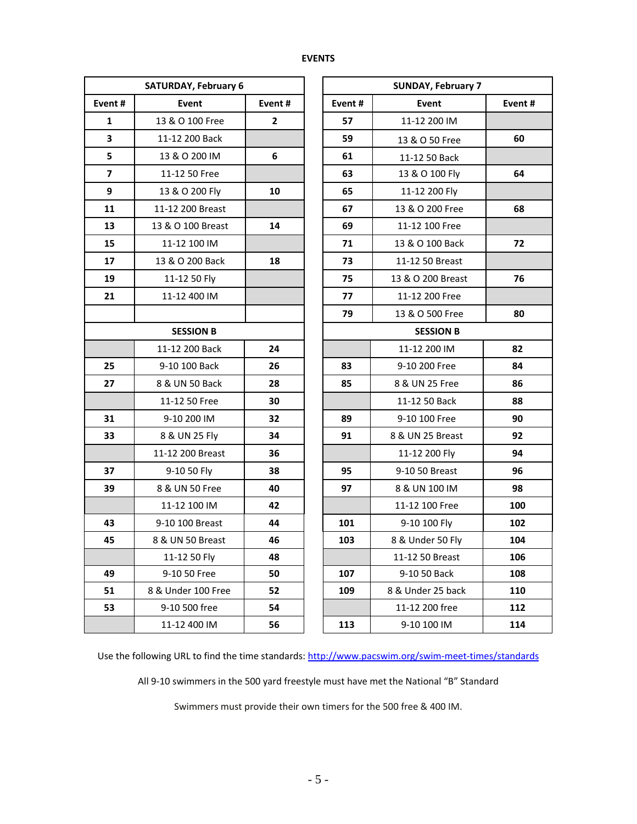| <b>SATURDAY, February 6</b> |                    |              |        | <b>SUNDAY, February 7</b> |        |  |  |  |  |
|-----------------------------|--------------------|--------------|--------|---------------------------|--------|--|--|--|--|
| Event#                      | Event<br>Event#    |              | Event# | Event                     | Event# |  |  |  |  |
| 1                           | 13 & O 100 Free    | $\mathbf{2}$ | 57     | 11-12 200 IM              |        |  |  |  |  |
| $\overline{\mathbf{3}}$     | 11-12 200 Back     |              | 59     | 13 & O 50 Free            | 60     |  |  |  |  |
| 5                           | 13 & O 200 IM      | 6            | 61     | 11-12 50 Back             |        |  |  |  |  |
| $\overline{\mathbf{z}}$     | 11-12 50 Free      |              | 63     | 13 & O 100 Fly            | 64     |  |  |  |  |
| 9                           | 13 & O 200 Fly     | 10           | 65     | 11-12 200 Fly             |        |  |  |  |  |
| 11                          | 11-12 200 Breast   |              | 67     | 13 & O 200 Free           | 68     |  |  |  |  |
| 13                          | 13 & O 100 Breast  | 14           | 69     | 11-12 100 Free            |        |  |  |  |  |
| 15                          | 11-12 100 IM       |              | 71     | 13 & O 100 Back           | 72     |  |  |  |  |
| 17                          | 13 & O 200 Back    | 18           | 73     | 11-12 50 Breast           |        |  |  |  |  |
| 19                          | 11-12 50 Fly       |              | 75     | 13 & O 200 Breast         | 76     |  |  |  |  |
| 21                          | 11-12 400 IM       |              | 77     | 11-12 200 Free            |        |  |  |  |  |
|                             |                    |              | 79     | 13 & O 500 Free           | 80     |  |  |  |  |
|                             | <b>SESSION B</b>   |              |        | <b>SESSION B</b>          |        |  |  |  |  |
|                             | 11-12 200 Back     | 24           |        | 11-12 200 IM              | 82     |  |  |  |  |
| 25                          | 9-10 100 Back      | 26           | 83     | 9-10 200 Free             | 84     |  |  |  |  |
| 27                          | 8 & UN 50 Back     | 28           | 85     | 8 & UN 25 Free            | 86     |  |  |  |  |
|                             | 11-12 50 Free      | 30           |        | 11-12 50 Back             | 88     |  |  |  |  |
| 31                          | 9-10 200 IM        | 32           | 89     | 9-10 100 Free             | 90     |  |  |  |  |
| 33                          | 8 & UN 25 Fly      | 34           | 91     | 8 & UN 25 Breast          | 92     |  |  |  |  |
|                             | 11-12 200 Breast   | 36           |        | 11-12 200 Fly             | 94     |  |  |  |  |
| 37                          | 9-10 50 Fly        | 38           | 95     | 9-10 50 Breast            | 96     |  |  |  |  |
| 39                          | 8 & UN 50 Free     | 40           | 97     | 8 & UN 100 IM             | 98     |  |  |  |  |
|                             | 11-12 100 IM       | 42           |        | 11-12 100 Free            | 100    |  |  |  |  |
| 43                          | 9-10 100 Breast    | 44           | 101    | 9-10 100 Fly              | 102    |  |  |  |  |
| 45                          | 8 & UN 50 Breast   | 46           | 103    | 8 & Under 50 Fly          | 104    |  |  |  |  |
|                             | 11-12 50 Fly       | 48           |        | 11-12 50 Breast           | 106    |  |  |  |  |
| 49                          | 9-10 50 Free       | 50           | 107    | 9-10 50 Back              | 108    |  |  |  |  |
| 51                          | 8 & Under 100 Free | 52           | 109    | 8 & Under 25 back         | 110    |  |  |  |  |
| 53                          | 9-10 500 free      | 54           |        | 11-12 200 free            | 112    |  |  |  |  |
|                             | 11-12 400 IM       | 56           | 113    | 9-10 100 IM               | 114    |  |  |  |  |

| <b>URDAY, February 6</b> |              | <b>SUNDAY, February 7</b> |                   |        |  |  |  |
|--------------------------|--------------|---------------------------|-------------------|--------|--|--|--|
| Event                    | Event#       | Event#                    | Event             | Event# |  |  |  |
| 3 & O 100 Free           | $\mathbf{2}$ | 57                        | 11-12 200 IM      |        |  |  |  |
| 1-12 200 Back            |              | 59                        | 13 & O 50 Free    | 60     |  |  |  |
| 13 & O 200 IM            | 6            | 61                        | 11-12 50 Back     |        |  |  |  |
| 11-12 50 Free            |              | 63                        | 13 & O 100 Fly    | 64     |  |  |  |
| 13 & O 200 Fly           | 10           | 65                        | 11-12 200 Fly     |        |  |  |  |
| 1-12 200 Breast          |              | 67                        | 13 & O 200 Free   | 68     |  |  |  |
| & O 100 Breast           | 14           | 69                        | 11-12 100 Free    |        |  |  |  |
| 11-12 100 IM             |              | 71                        | 13 & O 100 Back   | 72     |  |  |  |
| 3 & O 200 Back           | 18           | 73                        | 11-12 50 Breast   |        |  |  |  |
| 11-12 50 Fly             |              | 75                        | 13 & O 200 Breast | 76     |  |  |  |
| 11-12 400 IM             |              | 77                        | 11-12 200 Free    |        |  |  |  |
|                          |              | 79                        | 13 & O 500 Free   | 80     |  |  |  |
| <b>SESSION B</b>         |              |                           | <b>SESSION B</b>  |        |  |  |  |
| 1-12 200 Back            | 24           |                           | 11-12 200 IM      | 82     |  |  |  |
| 9-10 100 Back            | 26           | 83                        | 9-10 200 Free     | 84     |  |  |  |
| & UN 50 Back             | 28           | 85                        | 8 & UN 25 Free    | 86     |  |  |  |
| 11-12 50 Free            | 30           |                           | 11-12 50 Back     | 88     |  |  |  |
| 9-10 200 IM              | 32           | 89                        | 9-10 100 Free     | 90     |  |  |  |
| 8 & UN 25 Fly            | 34           | 91                        | 8 & UN 25 Breast  | 92     |  |  |  |
| <b>L-12 200 Breast</b>   | 36           |                           | 11-12 200 Fly     | 94     |  |  |  |
| 9-10 50 Fly              | 38           | 95                        | 9-10 50 Breast    | 96     |  |  |  |
| & UN 50 Free             | 40           | 97                        | 8 & UN 100 IM     | 98     |  |  |  |
| 11-12 100 IM             | 42           |                           | 11-12 100 Free    | 100    |  |  |  |
| -10 100 Breast           | 44           | 101                       | 9-10 100 Fly      | 102    |  |  |  |
| & UN 50 Breast           | 46           | 103                       | 8 & Under 50 Fly  | 104    |  |  |  |
| 11-12 50 Fly             | 48           |                           | 11-12 50 Breast   | 106    |  |  |  |
| 9-10 50 Free             | 50           | 107                       | 9-10 50 Back      | 108    |  |  |  |
| Under 100 Free           | 52           | 109                       | 8 & Under 25 back | 110    |  |  |  |
| 9-10 500 free            | 54           |                           | 11-12 200 free    | 112    |  |  |  |
| 11-12 400 IM             | 56           | 113                       | 9-10 100 IM       | 114    |  |  |  |

Use the following URL to find the time standards: <http://www.pacswim.org/swim-meet-times/standards>

All 9-10 swimmers in the 500 yard freestyle must have met the National "B" Standard

Swimmers must provide their own timers for the 500 free & 400 IM.